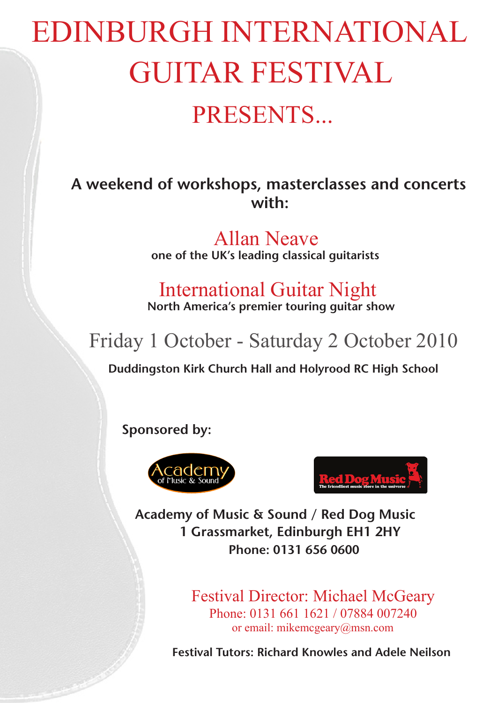# EDINBURGH INTERNATIONAL GUITAR FESTIVAL PRESENTS...

## **A weekend of workshops, masterclasses and concerts with:**

Allan Neave **one of the UK's leading classical guitarists**

International Guitar Night **North America's premier touring guitar show**

## Friday 1 October - Saturday 2 October 2010

**Duddingston Kirk Church Hall and Holyrood RC High School**

**Sponsored by:**





**Academy of Music & Sound / Red Dog Music 1 Grassmarket, Edinburgh EH1 2HY Phone: 0131 656 0600**

> Festival Director: Michael McGeary Phone: 0131 661 1621 / 07884 007240 or email: mikemcgeary@msn.com

**Festival Tutors: Richard Knowles and Adele Neilson**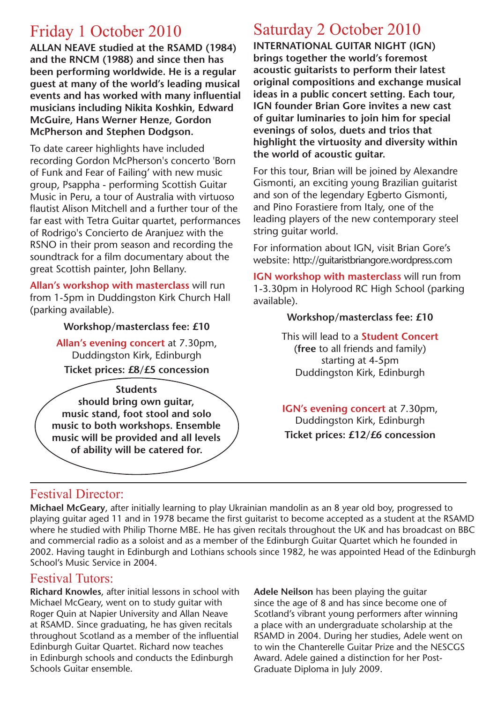## Friday 1 October 2010

**ALLAN NEAVE studied at the RSAMD (1984) and the RNCM (1988) and since then has been performing worldwide. He is a regular guest at many of the world's leading musical events and has worked with many influential musicians including Nikita Koshkin, Edward McGuire, Hans Werner Henze, Gordon McPherson and Stephen Dodgson.** 

To date career highlights have included recording Gordon McPherson's concerto 'Born of Funk and Fear of Failing' with new music group, Psappha - performing Scottish Guitar Music in Peru, a tour of Australia with virtuoso flautist Alison Mitchell and a further tour of the far east with Tetra Guitar quartet, performances of Rodrigo's Concierto de Aranjuez with the RSNO in their prom season and recording the soundtrack for a film documentary about the great Scottish painter, John Bellany.

**Allan's workshop with masterclass** will run from 1-5pm in Duddingston Kirk Church Hall (parking available).

#### **Workshop/masterclass fee: £10**

**Allan's evening concert** at 7.30pm, Duddingston Kirk, Edinburgh **Ticket prices: £8/£5 concession**

**Students should bring own guitar, music stand, foot stool and solo music to both workshops. Ensemble music will be provided and all levels of ability will be catered for.**

## Saturday 2 October 2010

**INTERNATIONAL GUITAR NIGHT (IGN) brings together the world's foremost acoustic guitarists to perform their latest original compositions and exchange musical ideas in a public concert setting. Each tour, IGN founder Brian Gore invites a new cast of guitar luminaries to join him for special evenings of solos, duets and trios that highlight the virtuosity and diversity within the world of acoustic guitar.**

For this tour, Brian will be joined by Alexandre Gismonti, an exciting young Brazilian guitarist and son of the legendary Egberto Gismonti, and Pino Forastiere from Italy, one of the leading players of the new contemporary steel string guitar world.

For information about IGN, visit Brian Gore's website: http://guitaristbriangore.wordpress.com

**IGN workshop with masterclass** will run from 1-3.30pm in Holyrood RC High School (parking available).

#### **Workshop/masterclass fee: £10**

This will lead to a **Student Concert** (**free** to all friends and family) starting at 4-5pm Duddingston Kirk, Edinburgh

**IGN's evening concert** at 7.30pm, Duddingston Kirk, Edinburgh **Ticket prices: £12/£6 concession**

#### Festival Director:

**Michael McGeary**, after initially learning to play Ukrainian mandolin as an 8 year old boy, progressed to playing guitar aged 11 and in 1978 became the first guitarist to become accepted as a student at the RSAMD where he studied with Philip Thorne MBE. He has given recitals throughout the UK and has broadcast on BBC and commercial radio as a soloist and as a member of the Edinburgh Guitar Quartet which he founded in 2002. Having taught in Edinburgh and Lothians schools since 1982, he was appointed Head of the Edinburgh School's Music Service in 2004.

#### Festival Tutors:

**Richard Knowles**, after initial lessons in school with Michael McGeary, went on to study guitar with Roger Quin at Napier University and Allan Neave at RSAMD. Since graduating, he has given recitals throughout Scotland as a member of the influential Edinburgh Guitar Quartet. Richard now teaches in Edinburgh schools and conducts the Edinburgh Schools Guitar ensemble.

**Adele Neilson** has been playing the guitar since the age of 8 and has since become one of Scotland's vibrant young performers after winning a place with an undergraduate scholarship at the RSAMD in 2004. During her studies, Adele went on to win the Chanterelle Guitar Prize and the NESCGS Award. Adele gained a distinction for her Post-Graduate Diploma in July 2009.